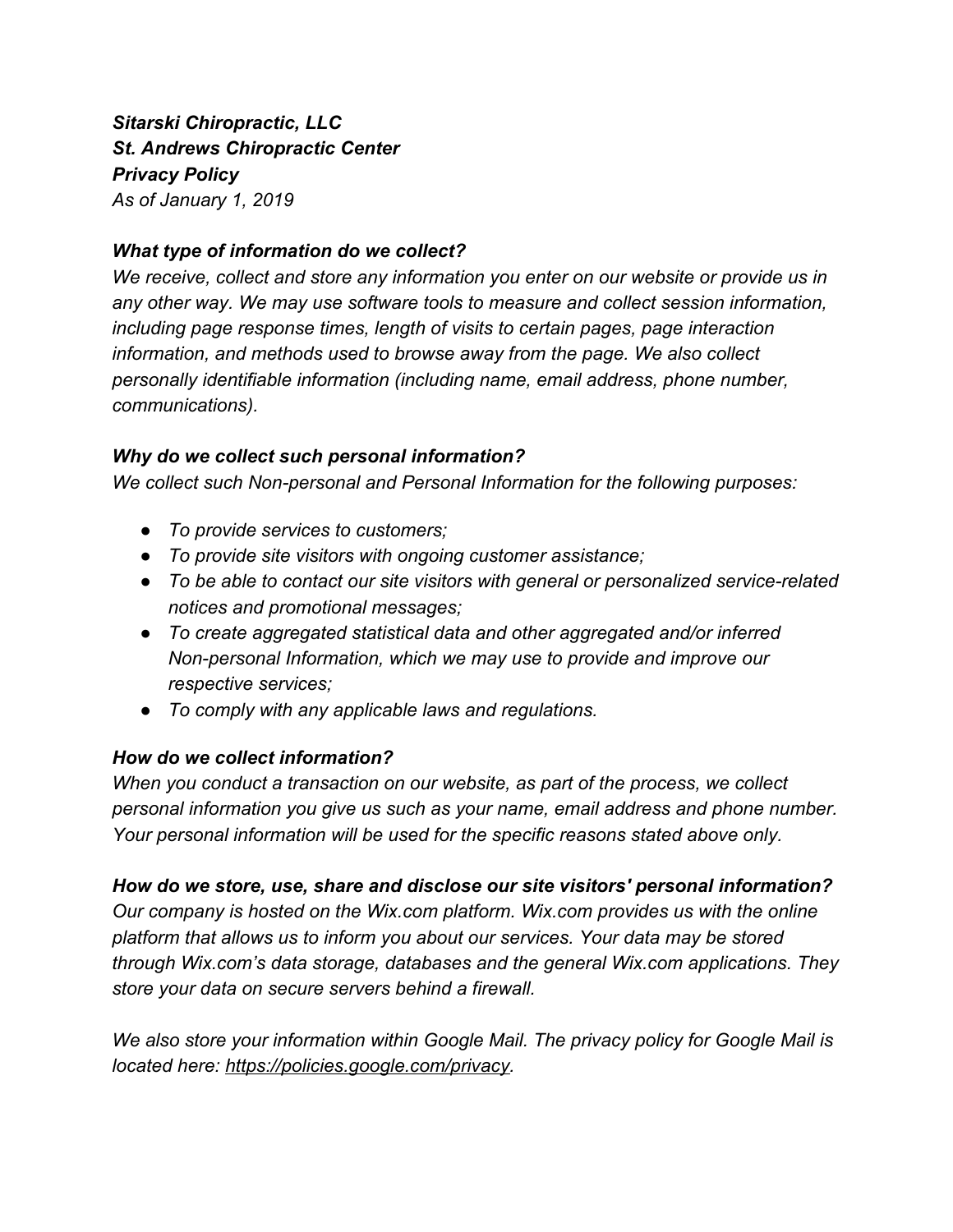*Sitarski Chiropractic, LLC St. Andrews Chiropractic Center Privacy Policy As of January 1, 2019*

# *What type of information do we collect?*

*We receive, collect and store any information you enter on our website or provide us in any other way. We may use software tools to measure and collect session information, including page response times, length of visits to certain pages, page interaction information, and methods used to browse away from the page. We also collect personally identifiable information (including name, email address, phone number, communications).*

### *Why do we collect such personal information?*

*We collect such Non-personal and Personal Information for the following purposes:*

- *● To provide services to customers;*
- *● To provide site visitors with ongoing customer assistance;*
- *● To be able to contact our site visitors with general or personalized service-related notices and promotional messages;*
- *● To create aggregated statistical data and other aggregated and/or inferred Non-personal Information, which we may use to provide and improve our respective services;*
- *● To comply with any applicable laws and regulations.*

# *How do we collect information?*

*When you conduct a transaction on our website, as part of the process, we collect personal information you give us such as your name, email address and phone number. Your personal information will be used for the specific reasons stated above only.*

# *How do we store, use, share and disclose our site visitors' personal information?*

*Our company is hosted on the Wix.com platform. Wix.com provides us with the online platform that allows us to inform you about our services. Your data may be stored through Wix.com's data storage, databases and the general Wix.com applications. They store your data on secure servers behind a firewall.*

*We also store your information within Google Mail. The privacy policy for Google Mail is located here: [https://policies.google.com/privacy.](https://policies.google.com/privacy?hl=en)*